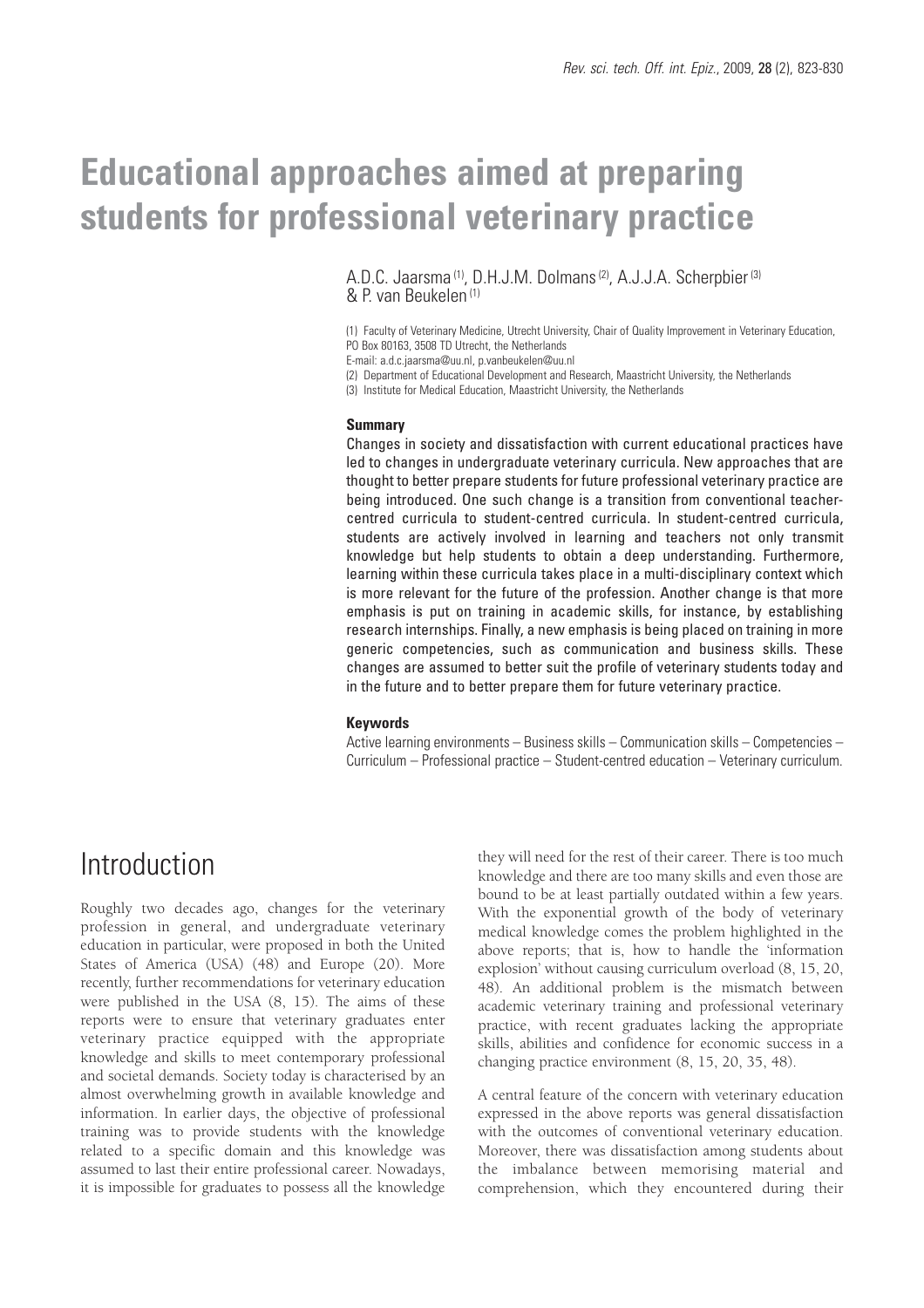# **Educational approaches aimed at preparing students for professional veterinary practice**

A.D.C. Jaarsma<sup>(1)</sup>, D.H.J.M. Dolmans<sup>(2)</sup>, A.J.J.A. Scherpbier<sup>(3)</sup> & P. van Beukelen (1)

(1) Faculty of Veterinary Medicine, Utrecht University, Chair of Quality Improvement in Veterinary Education, PO Box 80163, 3508 TD Utrecht, the Netherlands

E-mail: a.d.c.jaarsma@uu.nl, p.vanbeukelen@uu.nl

(2) Department of Educational Development and Research, Maastricht University, the Netherlands

(3) Institute for Medical Education, Maastricht University, the Netherlands

#### **Summary**

Changes in society and dissatisfaction with current educational practices have led to changes in undergraduate veterinary curricula. New approaches that are thought to better prepare students for future professional veterinary practice are being introduced. One such change is a transition from conventional teachercentred curricula to student-centred curricula. In student-centred curricula, students are actively involved in learning and teachers not only transmit knowledge but help students to obtain a deep understanding. Furthermore, learning within these curricula takes place in a multi-disciplinary context which is more relevant for the future of the profession. Another change is that more emphasis is put on training in academic skills, for instance, by establishing research internships. Finally, a new emphasis is being placed on training in more generic competencies, such as communication and business skills. These changes are assumed to better suit the profile of veterinary students today and in the future and to better prepare them for future veterinary practice.

#### **Keywords**

Active learning environments – Business skills – Communication skills – Competencies – Curriculum – Professional practice – Student-centred education – Veterinary curriculum.

### Introduction

Roughly two decades ago, changes for the veterinary profession in general, and undergraduate veterinary education in particular, were proposed in both the United States of America (USA) (48) and Europe (20). More recently, further recommendations for veterinary education were published in the USA (8, 15). The aims of these reports were to ensure that veterinary graduates enter veterinary practice equipped with the appropriate knowledge and skills to meet contemporary professional and societal demands. Society today is characterised by an almost overwhelming growth in available knowledge and information. In earlier days, the objective of professional training was to provide students with the knowledge related to a specific domain and this knowledge was assumed to last their entire professional career. Nowadays, it is impossible for graduates to possess all the knowledge

they will need for the rest of their career. There is too much knowledge and there are too many skills and even those are bound to be at least partially outdated within a few years. With the exponential growth of the body of veterinary medical knowledge comes the problem highlighted in the above reports; that is, how to handle the 'information explosion' without causing curriculum overload (8, 15, 20, 48). An additional problem is the mismatch between academic veterinary training and professional veterinary practice, with recent graduates lacking the appropriate skills, abilities and confidence for economic success in a changing practice environment (8, 15, 20, 35, 48).

A central feature of the concern with veterinary education expressed in the above reports was general dissatisfaction with the outcomes of conventional veterinary education. Moreover, there was dissatisfaction among students about the imbalance between memorising material and comprehension, which they encountered during their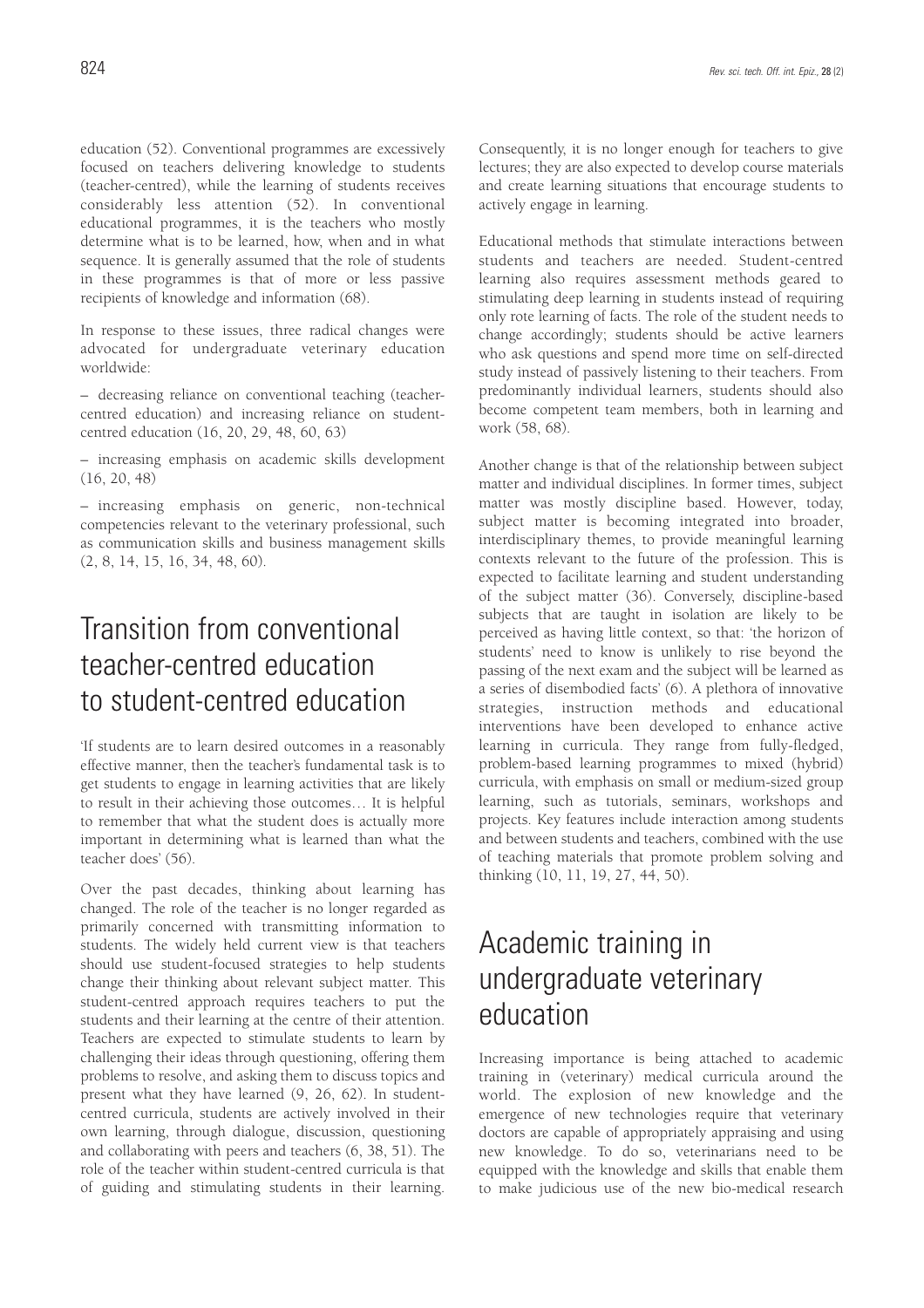education (52). Conventional programmes are excessively focused on teachers delivering knowledge to students (teacher-centred), while the learning of students receives considerably less attention (52). In conventional educational programmes, it is the teachers who mostly determine what is to be learned, how, when and in what sequence. It is generally assumed that the role of students in these programmes is that of more or less passive recipients of knowledge and information (68).

In response to these issues, three radical changes were advocated for undergraduate veterinary education worldwide:

– decreasing reliance on conventional teaching (teachercentred education) and increasing reliance on studentcentred education (16, 20, 29, 48, 60, 63)

– increasing emphasis on academic skills development (16, 20, 48)

– increasing emphasis on generic, non-technical competencies relevant to the veterinary professional, such as communication skills and business management skills (2, 8, 14, 15, 16, 34, 48, 60).

# Transition from conventional teacher-centred education to student-centred education

'If students are to learn desired outcomes in a reasonably effective manner, then the teacher's fundamental task is to get students to engage in learning activities that are likely to result in their achieving those outcomes… It is helpful to remember that what the student does is actually more important in determining what is learned than what the teacher does' (56).

Over the past decades, thinking about learning has changed. The role of the teacher is no longer regarded as primarily concerned with transmitting information to students. The widely held current view is that teachers should use student-focused strategies to help students change their thinking about relevant subject matter. This student-centred approach requires teachers to put the students and their learning at the centre of their attention. Teachers are expected to stimulate students to learn by challenging their ideas through questioning, offering them problems to resolve, and asking them to discuss topics and present what they have learned (9, 26, 62). In studentcentred curricula, students are actively involved in their own learning, through dialogue, discussion, questioning and collaborating with peers and teachers (6, 38, 51). The role of the teacher within student-centred curricula is that of guiding and stimulating students in their learning.

Consequently, it is no longer enough for teachers to give lectures; they are also expected to develop course materials and create learning situations that encourage students to actively engage in learning.

Educational methods that stimulate interactions between students and teachers are needed. Student-centred learning also requires assessment methods geared to stimulating deep learning in students instead of requiring only rote learning of facts. The role of the student needs to change accordingly; students should be active learners who ask questions and spend more time on self-directed study instead of passively listening to their teachers. From predominantly individual learners, students should also become competent team members, both in learning and work (58, 68).

Another change is that of the relationship between subject matter and individual disciplines. In former times, subject matter was mostly discipline based. However, today, subject matter is becoming integrated into broader, interdisciplinary themes, to provide meaningful learning contexts relevant to the future of the profession. This is expected to facilitate learning and student understanding of the subject matter (36). Conversely, discipline-based subjects that are taught in isolation are likely to be perceived as having little context, so that: 'the horizon of students' need to know is unlikely to rise beyond the passing of the next exam and the subject will be learned as a series of disembodied facts' (6). A plethora of innovative strategies, instruction methods and educational interventions have been developed to enhance active learning in curricula. They range from fully-fledged, problem-based learning programmes to mixed (hybrid) curricula, with emphasis on small or medium-sized group learning, such as tutorials, seminars, workshops and projects. Key features include interaction among students and between students and teachers, combined with the use of teaching materials that promote problem solving and thinking (10, 11, 19, 27, 44, 50).

# Academic training in undergraduate veterinary education

Increasing importance is being attached to academic training in (veterinary) medical curricula around the world. The explosion of new knowledge and the emergence of new technologies require that veterinary doctors are capable of appropriately appraising and using new knowledge. To do so, veterinarians need to be equipped with the knowledge and skills that enable them to make judicious use of the new bio-medical research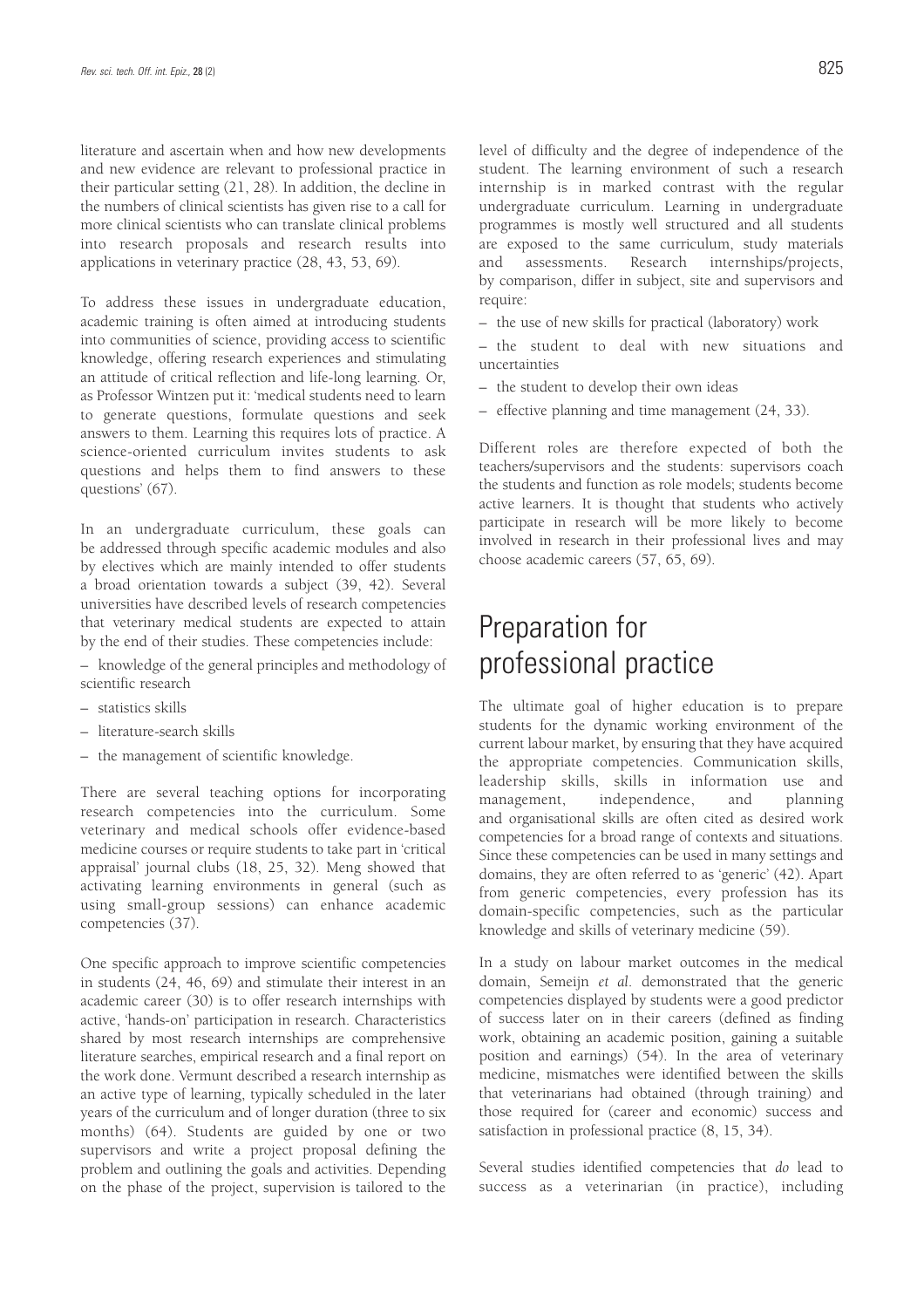literature and ascertain when and how new developments and new evidence are relevant to professional practice in their particular setting (21, 28). In addition, the decline in the numbers of clinical scientists has given rise to a call for more clinical scientists who can translate clinical problems into research proposals and research results into applications in veterinary practice (28, 43, 53, 69).

To address these issues in undergraduate education, academic training is often aimed at introducing students into communities of science, providing access to scientific knowledge, offering research experiences and stimulating an attitude of critical reflection and life-long learning. Or, as Professor Wintzen put it: 'medical students need to learn to generate questions, formulate questions and seek answers to them. Learning this requires lots of practice. A science-oriented curriculum invites students to ask questions and helps them to find answers to these questions' (67).

In an undergraduate curriculum, these goals can be addressed through specific academic modules and also by electives which are mainly intended to offer students a broad orientation towards a subject (39, 42). Several universities have described levels of research competencies that veterinary medical students are expected to attain by the end of their studies. These competencies include:

– knowledge of the general principles and methodology of scientific research

- statistics skills
- literature-search skills
- the management of scientific knowledge.

There are several teaching options for incorporating research competencies into the curriculum. Some veterinary and medical schools offer evidence-based medicine courses or require students to take part in 'critical appraisal' journal clubs (18, 25, 32). Meng showed that activating learning environments in general (such as using small-group sessions) can enhance academic competencies (37).

One specific approach to improve scientific competencies in students (24, 46, 69) and stimulate their interest in an academic career (30) is to offer research internships with active, 'hands-on' participation in research. Characteristics shared by most research internships are comprehensive literature searches, empirical research and a final report on the work done. Vermunt described a research internship as an active type of learning, typically scheduled in the later years of the curriculum and of longer duration (three to six months) (64). Students are guided by one or two supervisors and write a project proposal defining the problem and outlining the goals and activities. Depending on the phase of the project, supervision is tailored to the level of difficulty and the degree of independence of the student. The learning environment of such a research internship is in marked contrast with the regular undergraduate curriculum. Learning in undergraduate programmes is mostly well structured and all students are exposed to the same curriculum, study materials and assessments. Research internships/projects, by comparison, differ in subject, site and supervisors and require:

- the use of new skills for practical (laboratory) work
- the student to deal with new situations and uncertainties
- the student to develop their own ideas
- effective planning and time management (24, 33).

Different roles are therefore expected of both the teachers/supervisors and the students: supervisors coach the students and function as role models; students become active learners. It is thought that students who actively participate in research will be more likely to become involved in research in their professional lives and may choose academic careers (57, 65, 69).

### Preparation for professional practice

The ultimate goal of higher education is to prepare students for the dynamic working environment of the current labour market, by ensuring that they have acquired the appropriate competencies. Communication skills, leadership skills, skills in information use and management, independence, and planning and organisational skills are often cited as desired work competencies for a broad range of contexts and situations. Since these competencies can be used in many settings and domains, they are often referred to as 'generic' (42). Apart from generic competencies, every profession has its domain-specific competencies, such as the particular knowledge and skills of veterinary medicine (59).

In a study on labour market outcomes in the medical domain, Semeijn *et al*. demonstrated that the generic competencies displayed by students were a good predictor of success later on in their careers (defined as finding work, obtaining an academic position, gaining a suitable position and earnings) (54). In the area of veterinary medicine, mismatches were identified between the skills that veterinarians had obtained (through training) and those required for (career and economic) success and satisfaction in professional practice (8, 15, 34).

Several studies identified competencies that *do* lead to success as a veterinarian (in practice), including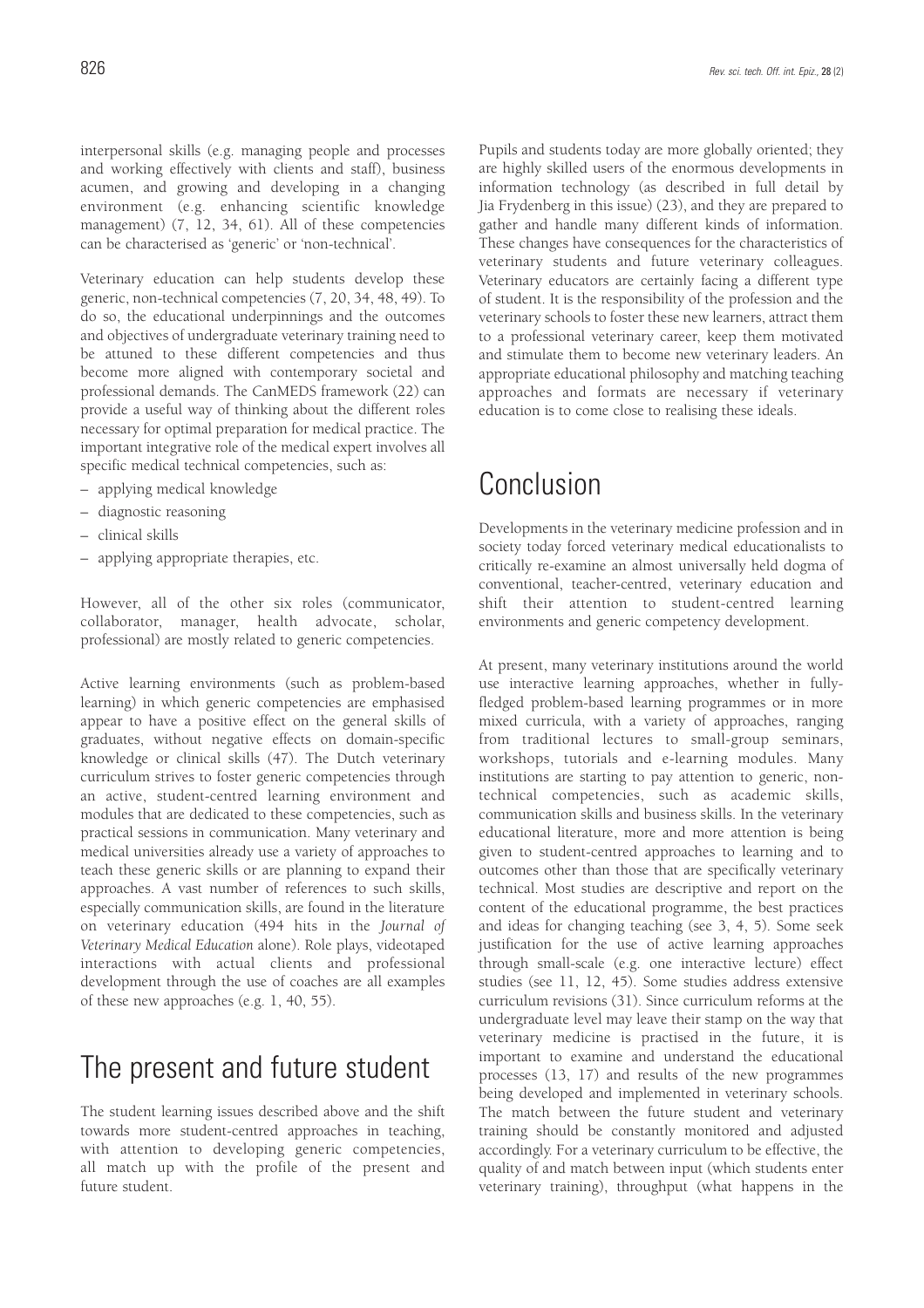interpersonal skills (e.g. managing people and processes and working effectively with clients and staff), business acumen, and growing and developing in a changing environment (e.g. enhancing scientific knowledge management) (7, 12, 34, 61). All of these competencies can be characterised as 'generic' or 'non-technical'.

Veterinary education can help students develop these generic, non-technical competencies (7, 20, 34, 48, 49). To do so, the educational underpinnings and the outcomes and objectives of undergraduate veterinary training need to be attuned to these different competencies and thus become more aligned with contemporary societal and professional demands. The CanMEDS framework (22) can provide a useful way of thinking about the different roles necessary for optimal preparation for medical practice. The important integrative role of the medical expert involves all specific medical technical competencies, such as:

- applying medical knowledge
- diagnostic reasoning
- clinical skills
- applying appropriate therapies, etc.

However, all of the other six roles (communicator, collaborator, manager, health advocate, scholar, professional) are mostly related to generic competencies.

Active learning environments (such as problem-based learning) in which generic competencies are emphasised appear to have a positive effect on the general skills of graduates, without negative effects on domain-specific knowledge or clinical skills (47). The Dutch veterinary curriculum strives to foster generic competencies through an active, student-centred learning environment and modules that are dedicated to these competencies, such as practical sessions in communication. Many veterinary and medical universities already use a variety of approaches to teach these generic skills or are planning to expand their approaches. A vast number of references to such skills, especially communication skills, are found in the literature on veterinary education (494 hits in the *Journal of Veterinary Medical Education* alone). Role plays, videotaped interactions with actual clients and professional development through the use of coaches are all examples of these new approaches (e.g. 1, 40, 55).

### The present and future student

The student learning issues described above and the shift towards more student-centred approaches in teaching, with attention to developing generic competencies, all match up with the profile of the present and future student.

Pupils and students today are more globally oriented; they are highly skilled users of the enormous developments in information technology (as described in full detail by Jia Frydenberg in this issue) (23), and they are prepared to gather and handle many different kinds of information. These changes have consequences for the characteristics of veterinary students and future veterinary colleagues. Veterinary educators are certainly facing a different type of student. It is the responsibility of the profession and the veterinary schools to foster these new learners, attract them to a professional veterinary career, keep them motivated and stimulate them to become new veterinary leaders. An appropriate educational philosophy and matching teaching approaches and formats are necessary if veterinary education is to come close to realising these ideals.

### Conclusion

Developments in the veterinary medicine profession and in society today forced veterinary medical educationalists to critically re-examine an almost universally held dogma of conventional, teacher-centred, veterinary education and shift their attention to student-centred learning environments and generic competency development.

At present, many veterinary institutions around the world use interactive learning approaches, whether in fullyfledged problem-based learning programmes or in more mixed curricula, with a variety of approaches, ranging from traditional lectures to small-group seminars, workshops, tutorials and e-learning modules. Many institutions are starting to pay attention to generic, nontechnical competencies, such as academic skills, communication skills and business skills. In the veterinary educational literature, more and more attention is being given to student-centred approaches to learning and to outcomes other than those that are specifically veterinary technical. Most studies are descriptive and report on the content of the educational programme, the best practices and ideas for changing teaching (see 3, 4, 5). Some seek justification for the use of active learning approaches through small-scale (e.g. one interactive lecture) effect studies (see 11, 12, 45). Some studies address extensive curriculum revisions (31). Since curriculum reforms at the undergraduate level may leave their stamp on the way that veterinary medicine is practised in the future, it is important to examine and understand the educational processes (13, 17) and results of the new programmes being developed and implemented in veterinary schools. The match between the future student and veterinary training should be constantly monitored and adjusted accordingly. For a veterinary curriculum to be effective, the quality of and match between input (which students enter veterinary training), throughput (what happens in the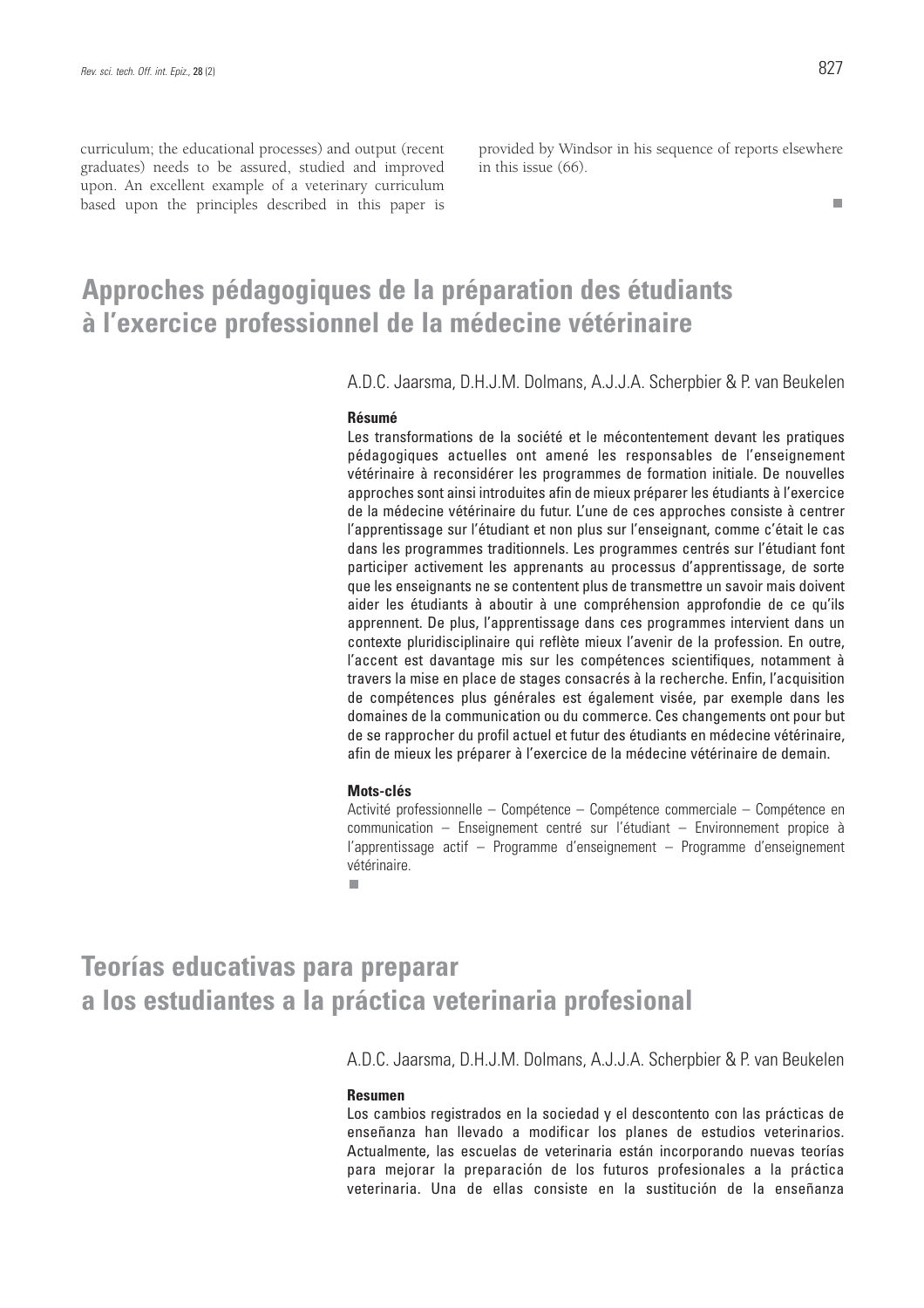curriculum; the educational processes) and output (recent graduates) needs to be assured, studied and improved upon. An excellent example of a veterinary curriculum based upon the principles described in this paper is

provided by Windsor in his sequence of reports elsewhere in this issue (66).

 $\blacksquare$ 

#### **Approches pédagogiques de la préparation des étudiants à l'exercice professionnel de la médecine vétérinaire**

A.D.C. Jaarsma, D.H.J.M. Dolmans, A.J.J.A. Scherpbier & P. van Beukelen

#### **Résumé**

Les transformations de la société et le mécontentement devant les pratiques pédagogiques actuelles ont amené les responsables de l'enseignement vétérinaire à reconsidérer les programmes de formation initiale. De nouvelles approches sont ainsi introduites afin de mieux préparer les étudiants à l'exercice de la médecine vétérinaire du futur. L'une de ces approches consiste à centrer l'apprentissage sur l'étudiant et non plus sur l'enseignant, comme c'était le cas dans les programmes traditionnels. Les programmes centrés sur l'étudiant font participer activement les apprenants au processus d'apprentissage, de sorte que les enseignants ne se contentent plus de transmettre un savoir mais doivent aider les étudiants à aboutir à une compréhension approfondie de ce qu'ils apprennent. De plus, l'apprentissage dans ces programmes intervient dans un contexte pluridisciplinaire qui reflète mieux l'avenir de la profession. En outre, l'accent est davantage mis sur les compétences scientifiques, notamment à travers la mise en place de stages consacrés à la recherche. Enfin, l'acquisition de compétences plus générales est également visée, par exemple dans les domaines de la communication ou du commerce. Ces changements ont pour but de se rapprocher du profil actuel et futur des étudiants en médecine vétérinaire, afin de mieux les préparer à l'exercice de la médecine vétérinaire de demain.

#### **Mots-clés**

Activité professionnelle – Compétence – Compétence commerciale – Compétence en communication – Enseignement centré sur l'étudiant – Environnement propice à l'apprentissage actif – Programme d'enseignement – Programme d'enseignement vétérinaire.

٠

### **Teorías educativas para preparar a los estudiantes a la práctica veterinaria profesional**

A.D.C. Jaarsma, D.H.J.M. Dolmans, A.J.J.A. Scherpbier & P. van Beukelen

#### **Resumen**

Los cambios registrados en la sociedad y el descontento con las prácticas de enseñanza han llevado a modificar los planes de estudios veterinarios. Actualmente, las escuelas de veterinaria están incorporando nuevas teorías para mejorar la preparación de los futuros profesionales a la práctica veterinaria. Una de ellas consiste en la sustitución de la enseñanza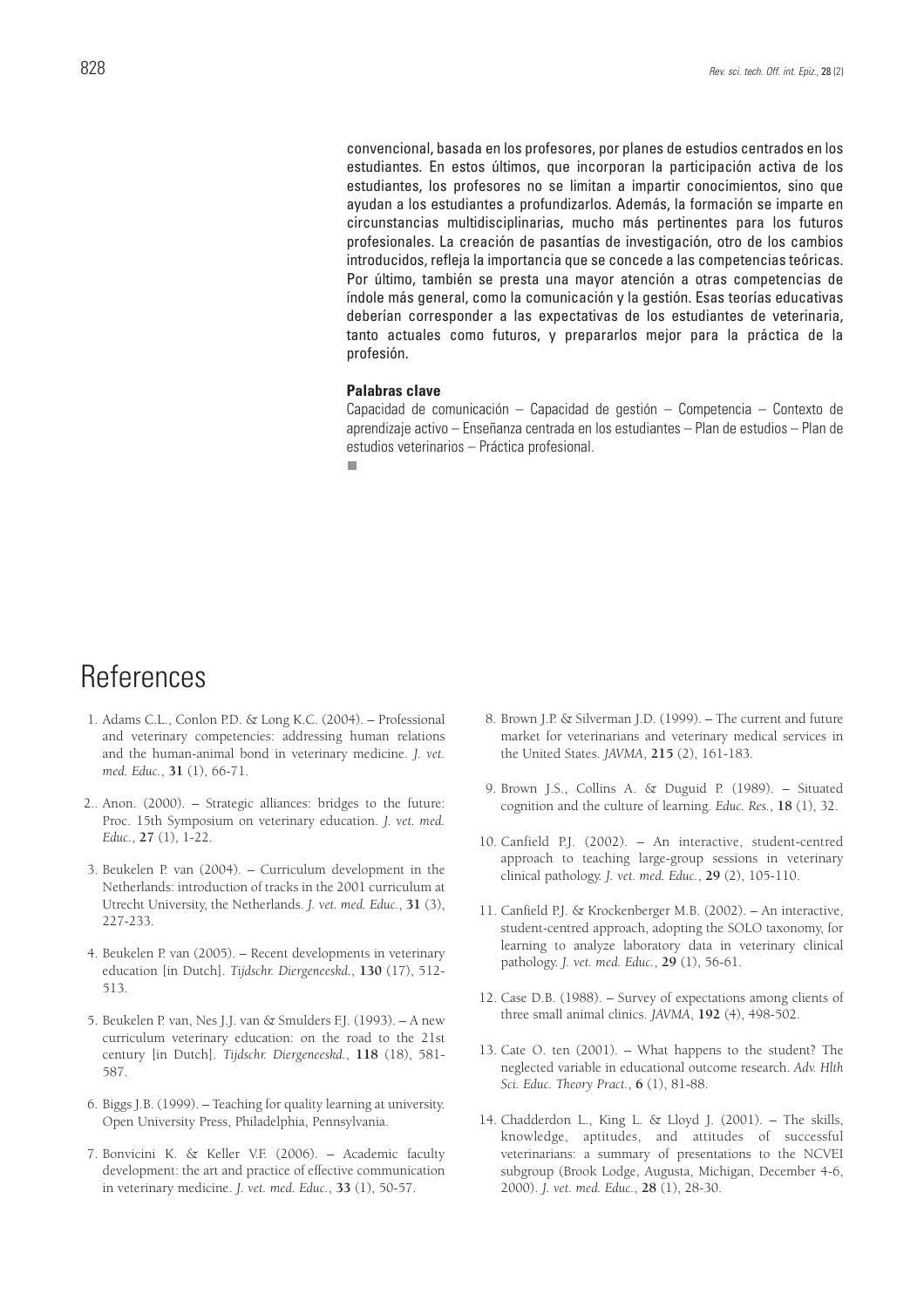convencional, basada en los profesores, por planes de estudios centrados en los estudiantes. En estos últimos, que incorporan la participación activa de los estudiantes, los profesores no se limitan a impartir conocimientos, sino que ayudan a los estudiantes a profundizarlos. Además, la formación se imparte en circunstancias multidisciplinarias, mucho más pertinentes para los futuros profesionales. La creación de pasantías de investigación, otro de los cambios introducidos, refleja la importancia que se concede a las competencias teóricas. Por último, también se presta una mayor atención a otras competencias de índole más general, como la comunicación y la gestión. Esas teorías educativas deberían corresponder a las expectativas de los estudiantes de veterinaria, tanto actuales como futuros, y prepararlos mejor para la práctica de la profesión.

#### **Palabras clave**

Capacidad de comunicación – Capacidad de gestión – Competencia – Contexto de aprendizaje activo – Enseñanza centrada en los estudiantes – Plan de estudios – Plan de estudios veterinarios – Práctica profesional.

п

### **References**

- 1. Adams C.L., Conlon P.D. & Long K.C. (2004). Professional and veterinary competencies: addressing human relations and the human-animal bond in veterinary medicine. *J. vet. med. Educ.*, **31** (1), 66-71.
- 2.. Anon. (2000). Strategic alliances: bridges to the future: Proc. 15th Symposium on veterinary education. *J. vet. med. Educ.*, **27** (1), 1-22.
- 3. Beukelen P. van (2004). Curriculum development in the Netherlands: introduction of tracks in the 2001 curriculum at Utrecht University, the Netherlands. *J. vet. med. Educ.*, **31** (3), 227-233.
- 4. Beukelen P. van (2005). Recent developments in veterinary education [in Dutch]. *Tijdschr. Diergeneeskd.*, **130** (17), 512- 513.
- 5. Beukelen P. van, Nes J.J. van & Smulders F.J. (1993). A new curriculum veterinary education: on the road to the 21st century [in Dutch]. *Tijdschr. Diergeneeskd.*, **118** (18), 581- 587.
- 6. Biggs J.B. (1999). Teaching for quality learning at university. Open University Press, Philadelphia, Pennsylvania.
- 7. Bonvicini K. & Keller V.F. (2006). Academic faculty development: the art and practice of effective communication in veterinary medicine. *J. vet. med. Educ.*, **33** (1), 50-57.
- 8. Brown J.P. & Silverman J.D. (1999). The current and future market for veterinarians and veterinary medical services in the United States. *JAVMA*, **215** (2), 161-183.
- 9. Brown J.S., Collins A. & Duguid P. (1989). Situated cognition and the culture of learning. *Educ. Res.*, **18** (1), 32.
- 10. Canfield P.J. (2002). An interactive, student-centred approach to teaching large-group sessions in veterinary clinical pathology. *J. vet. med. Educ.*, **29** (2), 105-110.
- 11. Canfield P.J. & Krockenberger M.B. (2002). An interactive, student-centred approach, adopting the SOLO taxonomy, for learning to analyze laboratory data in veterinary clinical pathology. *J. vet. med. Educ.*, **29** (1), 56-61.
- 12. Case D.B. (1988). Survey of expectations among clients of three small animal clinics. *JAVMA*, **192** (4), 498-502.
- 13. Cate O. ten (2001). What happens to the student? The neglected variable in educational outcome research. *Adv. Hlth Sci. Educ. Theory Pract.*, **6** (1), 81-88.
- 14. Chadderdon L., King L. & Lloyd J. (2001). The skills, knowledge, aptitudes, and attitudes of successful veterinarians: a summary of presentations to the NCVEI subgroup (Brook Lodge, Augusta, Michigan, December 4-6, 2000). *J. vet. med. Educ.*, **28** (1), 28-30.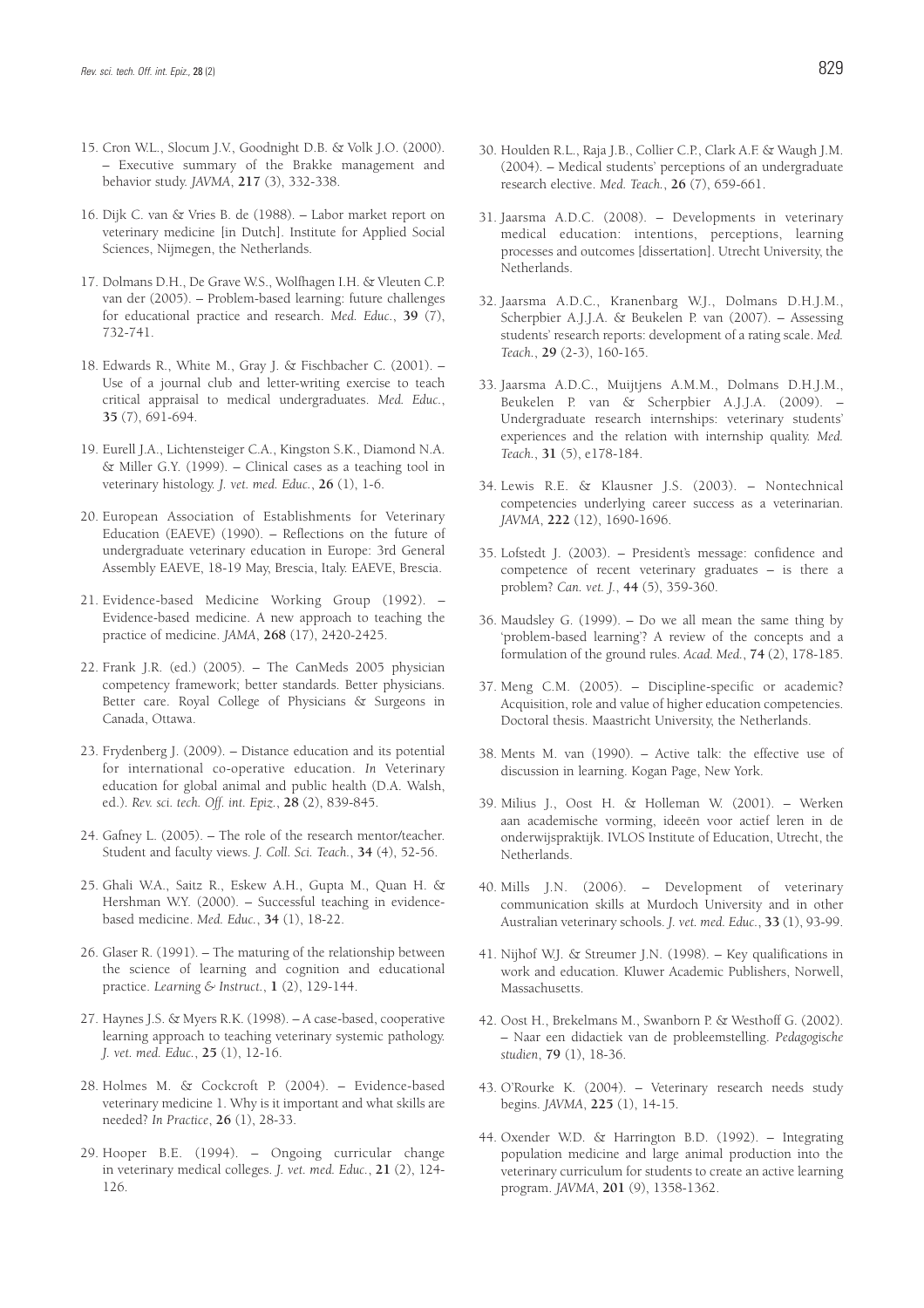- 15. Cron W.L., Slocum J.V., Goodnight D.B. & Volk J.O. (2000). – Executive summary of the Brakke management and behavior study. *JAVMA*, **217** (3), 332-338.
- 16. Dijk C. van & Vries B. de (1988). Labor market report on veterinary medicine [in Dutch]. Institute for Applied Social Sciences, Nijmegen, the Netherlands.
- 17. Dolmans D.H., De Grave W.S., Wolfhagen I.H. & Vleuten C.P. van der (2005). – Problem-based learning: future challenges for educational practice and research. *Med. Educ.*, **39** (7), 732-741.
- 18. Edwards R., White M., Gray J. & Fischbacher C. (2001). Use of a journal club and letter-writing exercise to teach critical appraisal to medical undergraduates. *Med. Educ.*, **35** (7), 691-694.
- 19. Eurell J.A., Lichtensteiger C.A., Kingston S.K., Diamond N.A. & Miller G.Y. (1999). – Clinical cases as a teaching tool in veterinary histology. *J. vet. med. Educ.*, **26** (1), 1-6.
- 20. European Association of Establishments for Veterinary Education (EAEVE) (1990). – Reflections on the future of undergraduate veterinary education in Europe: 3rd General Assembly EAEVE, 18-19 May, Brescia, Italy. EAEVE, Brescia.
- 21. Evidence-based Medicine Working Group (1992). Evidence-based medicine. A new approach to teaching the practice of medicine. *JAMA*, **268** (17), 2420-2425.
- 22. Frank J.R. (ed.) (2005). The CanMeds 2005 physician competency framework; better standards. Better physicians. Better care. Royal College of Physicians & Surgeons in Canada, Ottawa.
- 23. Frydenberg J. (2009). Distance education and its potential for international co-operative education. *In* Veterinary education for global animal and public health (D.A. Walsh, ed.). *Rev. sci. tech. Off. int. Epiz.*, **28** (2), 839-845.
- 24. Gafney L. (2005). The role of the research mentor/teacher. Student and faculty views. *J. Coll. Sci. Teach.*, **34** (4), 52-56.
- 25. Ghali W.A., Saitz R., Eskew A.H., Gupta M., Quan H. & Hershman W.Y. (2000). – Successful teaching in evidencebased medicine. *Med. Educ.*, **34** (1), 18-22.
- 26. Glaser R. (1991). The maturing of the relationship between the science of learning and cognition and educational practice. *Learning & Instruct.*, **1** (2), 129-144.
- 27. Haynes J.S. & Myers R.K. (1998). A case-based, cooperative learning approach to teaching veterinary systemic pathology. *J. vet. med. Educ.*, **25** (1), 12-16.
- 28. Holmes M. & Cockcroft P. (2004). Evidence-based veterinary medicine 1. Why is it important and what skills are needed? *In Practice*, **26** (1), 28-33.
- 29. Hooper B.E. (1994). Ongoing curricular change in veterinary medical colleges. *J. vet. med. Educ.*, **21** (2), 124- 126.
- 30. Houlden R.L., Raja J.B., Collier C.P., Clark A.F. & Waugh J.M. (2004). – Medical students' perceptions of an undergraduate research elective. *Med. Teach.*, **26** (7), 659-661.
- 31. Jaarsma A.D.C. (2008). Developments in veterinary medical education: intentions, perceptions, learning processes and outcomes [dissertation]. Utrecht University, the Netherlands.
- 32. Jaarsma A.D.C., Kranenbarg W.J., Dolmans D.H.J.M., Scherpbier A.J.J.A. & Beukelen P. van (2007). – Assessing students' research reports: development of a rating scale. *Med. Teach.*, **29** (2-3), 160-165.
- 33. Jaarsma A.D.C., Muijtjens A.M.M., Dolmans D.H.J.M., Beukelen P. van & Scherpbier A.J.J.A. (2009). – Undergraduate research internships: veterinary students' experiences and the relation with internship quality. *Med. Teach.*, **31** (5), e178-184.
- 34. Lewis R.E. & Klausner J.S. (2003). Nontechnical competencies underlying career success as a veterinarian. *JAVMA*, **222** (12), 1690-1696.
- 35. Lofstedt J. (2003). President's message: confidence and competence of recent veterinary graduates – is there a problem? *Can. vet. J.*, **44** (5), 359-360.
- 36. Maudsley G. (1999). Do we all mean the same thing by 'problem-based learning'? A review of the concepts and a formulation of the ground rules. *Acad. Med.*, **74** (2), 178-185.
- 37. Meng C.M. (2005). Discipline-specific or academic? Acquisition, role and value of higher education competencies. Doctoral thesis. Maastricht University, the Netherlands.
- 38. Ments M. van (1990). Active talk: the effective use of discussion in learning. Kogan Page, New York.
- 39. Milius J., Oost H. & Holleman W. (2001). Werken aan academische vorming, ideeën voor actief leren in de onderwijspraktijk. IVLOS Institute of Education, Utrecht, the Netherlands.
- 40. Mills J.N. (2006). Development of veterinary communication skills at Murdoch University and in other Australian veterinary schools. *J. vet. med. Educ.*, **33** (1), 93-99.
- 41. Nijhof W.J. & Streumer J.N. (1998). Key qualifications in work and education. Kluwer Academic Publishers, Norwell, Massachusetts.
- 42. Oost H., Brekelmans M., Swanborn P. & Westhoff G. (2002). – Naar een didactiek van de probleemstelling. *Pedagogische studien*, **79** (1), 18-36.
- 43. O'Rourke K. (2004). Veterinary research needs study begins. *JAVMA*, **225** (1), 14-15.
- 44. Oxender W.D. & Harrington B.D. (1992). Integrating population medicine and large animal production into the veterinary curriculum for students to create an active learning program. *JAVMA*, **201** (9), 1358-1362.